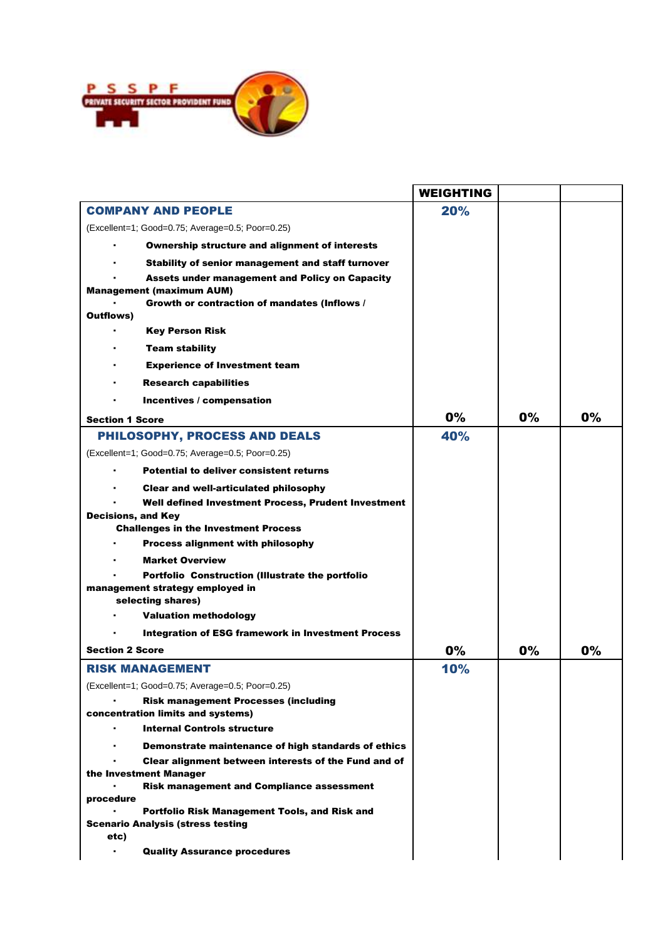

|                                                                                  | <b>WEIGHTING</b> |    |       |
|----------------------------------------------------------------------------------|------------------|----|-------|
| <b>COMPANY AND PEOPLE</b>                                                        | 20%              |    |       |
| (Excellent=1; Good=0.75; Average=0.5; Poor=0.25)                                 |                  |    |       |
| <b>Ownership structure and alignment of interests</b>                            |                  |    |       |
| Stability of senior management and staff turnover                                |                  |    |       |
| <b>Assets under management and Policy on Capacity</b>                            |                  |    |       |
| <b>Management (maximum AUM)</b>                                                  |                  |    |       |
| Growth or contraction of mandates (Inflows /                                     |                  |    |       |
| <b>Outflows</b> )                                                                |                  |    |       |
| <b>Key Person Risk</b>                                                           |                  |    |       |
| <b>Team stability</b>                                                            |                  |    |       |
| <b>Experience of Investment team</b>                                             |                  |    |       |
| <b>Research capabilities</b>                                                     |                  |    |       |
| Incentives / compensation                                                        |                  |    |       |
| <b>Section 1 Score</b>                                                           | 0%               | 0% | $0\%$ |
| PHILOSOPHY, PROCESS AND DEALS                                                    | 40%              |    |       |
| (Excellent=1; Good=0.75; Average=0.5; Poor=0.25)                                 |                  |    |       |
| <b>Potential to deliver consistent returns</b>                                   |                  |    |       |
|                                                                                  |                  |    |       |
| <b>Clear and well-articulated philosophy</b>                                     |                  |    |       |
| Well defined Investment Process, Prudent Investment<br><b>Decisions, and Key</b> |                  |    |       |
| <b>Challenges in the Investment Process</b>                                      |                  |    |       |
| <b>Process alignment with philosophy</b>                                         |                  |    |       |
| <b>Market Overview</b>                                                           |                  |    |       |
| Portfolio Construction (Illustrate the portfolio                                 |                  |    |       |
| management strategy employed in                                                  |                  |    |       |
| selecting shares)                                                                |                  |    |       |
| <b>Valuation methodology</b>                                                     |                  |    |       |
| <b>Integration of ESG framework in Investment Process</b>                        |                  |    |       |
| <b>Section 2 Score</b>                                                           | 0%               | 0% | 0%    |
| <b>RISK MANAGEMENT</b>                                                           | 10%              |    |       |
| (Excellent=1; Good=0.75; Average=0.5; Poor=0.25)                                 |                  |    |       |
| <b>Risk management Processes (including</b>                                      |                  |    |       |
| concentration limits and systems)                                                |                  |    |       |
| <b>Internal Controls structure</b><br>$\blacksquare$                             |                  |    |       |
| Demonstrate maintenance of high standards of ethics                              |                  |    |       |
| Clear alignment between interests of the Fund and of                             |                  |    |       |
| the Investment Manager                                                           |                  |    |       |
| <b>Risk management and Compliance assessment</b><br>procedure                    |                  |    |       |
| Portfolio Risk Management Tools, and Risk and                                    |                  |    |       |
| <b>Scenario Analysis (stress testing</b>                                         |                  |    |       |
| etc)                                                                             |                  |    |       |
| <b>Quality Assurance procedures</b><br>٠                                         |                  |    |       |